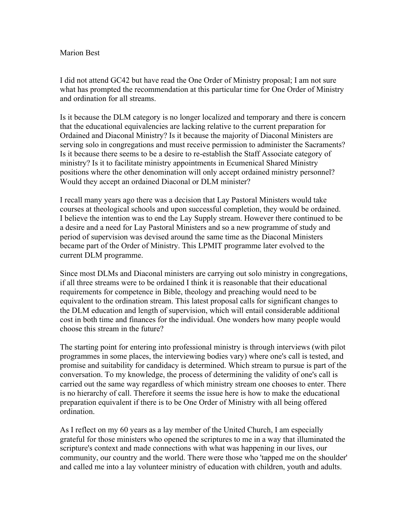## Marion Best

I did not attend GC42 but have read the One Order of Ministry proposal; I am not sure what has prompted the recommendation at this particular time for One Order of Ministry and ordination for all streams.

Is it because the DLM category is no longer localized and temporary and there is concern that the educational equivalencies are lacking relative to the current preparation for Ordained and Diaconal Ministry? Is it because the majority of Diaconal Ministers are serving solo in congregations and must receive permission to administer the Sacraments? Is it because there seems to be a desire to re-establish the Staff Associate category of ministry? Is it to facilitate ministry appointments in Ecumenical Shared Ministry positions where the other denomination will only accept ordained ministry personnel? Would they accept an ordained Diaconal or DLM minister?

I recall many years ago there was a decision that Lay Pastoral Ministers would take courses at theological schools and upon successful completion, they would be ordained. I believe the intention was to end the Lay Supply stream. However there continued to be a desire and a need for Lay Pastoral Ministers and so a new programme of study and period of supervision was devised around the same time as the Diaconal Ministers became part of the Order of Ministry. This LPMIT programme later evolved to the current DLM programme.

Since most DLMs and Diaconal ministers are carrying out solo ministry in congregations, if all three streams were to be ordained I think it is reasonable that their educational requirements for competence in Bible, theology and preaching would need to be equivalent to the ordination stream. This latest proposal calls for significant changes to the DLM education and length of supervision, which will entail considerable additional cost in both time and finances for the individual. One wonders how many people would choose this stream in the future?

The starting point for entering into professional ministry is through interviews (with pilot programmes in some places, the interviewing bodies vary) where one's call is tested, and promise and suitability for candidacy is determined. Which stream to pursue is part of the conversation. To my knowledge, the process of determining the validity of one's call is carried out the same way regardless of which ministry stream one chooses to enter. There is no hierarchy of call. Therefore it seems the issue here is how to make the educational preparation equivalent if there is to be One Order of Ministry with all being offered ordination.

As I reflect on my 60 years as a lay member of the United Church, I am especially grateful for those ministers who opened the scriptures to me in a way that illuminated the scripture's context and made connections with what was happening in our lives, our community, our country and the world. There were those who 'tapped me on the shoulder' and called me into a lay volunteer ministry of education with children, youth and adults.